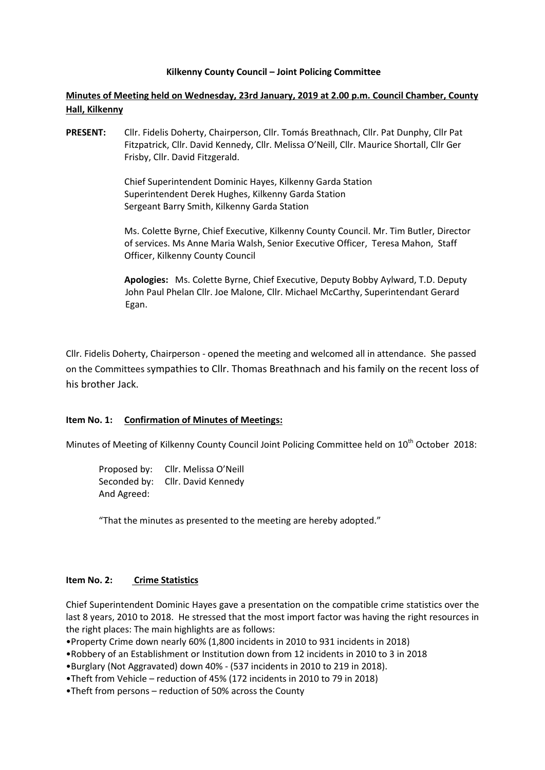#### **Kilkenny County Council – Joint Policing Committee**

**Minutes of Meeting held on Wednesday, 23rd January, 2019 at 2.00 p.m. Council Chamber, County Hall, Kilkenny**

**PRESENT:** Cllr. Fidelis Doherty, Chairperson, Cllr. Tomás Breathnach, Cllr. Pat Dunphy, Cllr Pat Fitzpatrick, Cllr. David Kennedy, Cllr. Melissa O'Neill, Cllr. Maurice Shortall, Cllr Ger Frisby, Cllr. David Fitzgerald.

> Chief Superintendent Dominic Hayes, Kilkenny Garda Station Superintendent Derek Hughes, Kilkenny Garda Station Sergeant Barry Smith, Kilkenny Garda Station

Ms. Colette Byrne, Chief Executive, Kilkenny County Council. Mr. Tim Butler, Director of services. Ms Anne Maria Walsh, Senior Executive Officer, Teresa Mahon, Staff Officer, Kilkenny County Council

**Apologies:** Ms. Colette Byrne, Chief Executive, Deputy Bobby Aylward, T.D. Deputy John Paul Phelan Cllr. Joe Malone, Cllr. Michael McCarthy, Superintendant Gerard Egan.

Cllr. Fidelis Doherty, Chairperson - opened the meeting and welcomed all in attendance. She passed on the Committees sympathies to Cllr. Thomas Breathnach and his family on the recent loss of his brother Jack.

## **Item No. 1: Confirmation of Minutes of Meetings:**

Minutes of Meeting of Kilkenny County Council Joint Policing Committee held on 10<sup>th</sup> October 2018:

Proposed by: Cllr. Melissa O'Neill Seconded by: Cllr. David Kennedy And Agreed:

"That the minutes as presented to the meeting are hereby adopted."

#### **Item No. 2: Crime Statistics**

Chief Superintendent Dominic Hayes gave a presentation on the compatible crime statistics over the last 8 years, 2010 to 2018. He stressed that the most import factor was having the right resources in the right places: The main highlights are as follows:

•Property Crime down nearly 60% (1,800 incidents in 2010 to 931 incidents in 2018)

•Robbery of an Establishment or Institution down from 12 incidents in 2010 to 3 in 2018

•Burglary (Not Aggravated) down 40% - (537 incidents in 2010 to 219 in 2018).

•Theft from Vehicle – reduction of 45% (172 incidents in 2010 to 79 in 2018)

•Theft from persons – reduction of 50% across the County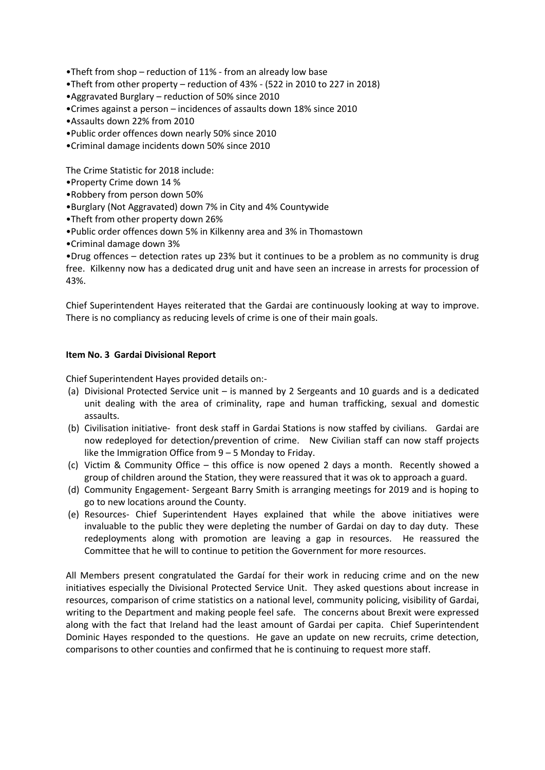•Theft from shop – reduction of 11% - from an already low base

•Theft from other property – reduction of 43% - (522 in 2010 to 227 in 2018)

•Aggravated Burglary – reduction of 50% since 2010

•Crimes against a person – incidences of assaults down 18% since 2010

•Assaults down 22% from 2010

•Public order offences down nearly 50% since 2010

•Criminal damage incidents down 50% since 2010

The Crime Statistic for 2018 include:

•Property Crime down 14 %

•Robbery from person down 50%

•Burglary (Not Aggravated) down 7% in City and 4% Countywide

•Theft from other property down 26%

•Public order offences down 5% in Kilkenny area and 3% in Thomastown

•Criminal damage down 3%

•Drug offences – detection rates up 23% but it continues to be a problem as no community is drug free. Kilkenny now has a dedicated drug unit and have seen an increase in arrests for procession of 43%.

Chief Superintendent Hayes reiterated that the Gardai are continuously looking at way to improve. There is no compliancy as reducing levels of crime is one of their main goals.

## **Item No. 3 Gardai Divisional Report**

Chief Superintendent Hayes provided details on:-

- (a) Divisional Protected Service unit is manned by 2 Sergeants and 10 guards and is a dedicated unit dealing with the area of criminality, rape and human trafficking, sexual and domestic assaults.
- (b) Civilisation initiative- front desk staff in Gardai Stations is now staffed by civilians. Gardai are now redeployed for detection/prevention of crime. New Civilian staff can now staff projects like the Immigration Office from 9 – 5 Monday to Friday.
- (c) Victim & Community Office this office is now opened 2 days a month. Recently showed a group of children around the Station, they were reassured that it was ok to approach a guard.
- (d) Community Engagement- Sergeant Barry Smith is arranging meetings for 2019 and is hoping to go to new locations around the County.
- (e) Resources- Chief Superintendent Hayes explained that while the above initiatives were invaluable to the public they were depleting the number of Gardai on day to day duty. These redeployments along with promotion are leaving a gap in resources. He reassured the Committee that he will to continue to petition the Government for more resources.

All Members present congratulated the Gardaí for their work in reducing crime and on the new initiatives especially the Divisional Protected Service Unit. They asked questions about increase in resources, comparison of crime statistics on a national level, community policing, visibility of Gardai, writing to the Department and making people feel safe. The concerns about Brexit were expressed along with the fact that Ireland had the least amount of Gardai per capita. Chief Superintendent Dominic Hayes responded to the questions. He gave an update on new recruits, crime detection, comparisons to other counties and confirmed that he is continuing to request more staff.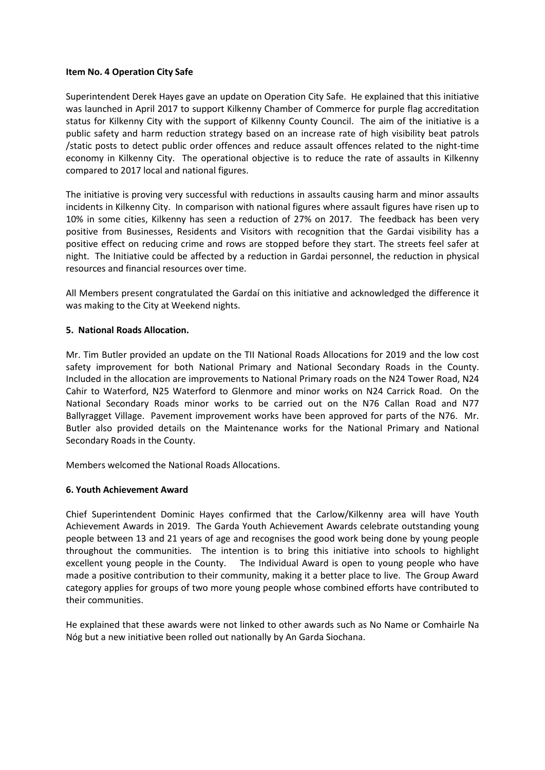#### **Item No. 4 Operation City Safe**

Superintendent Derek Hayes gave an update on Operation City Safe. He explained that this initiative was launched in April 2017 to support Kilkenny Chamber of Commerce for purple flag accreditation status for Kilkenny City with the support of Kilkenny County Council. The aim of the initiative is a public safety and harm reduction strategy based on an increase rate of high visibility beat patrols /static posts to detect public order offences and reduce assault offences related to the night-time economy in Kilkenny City. The operational objective is to reduce the rate of assaults in Kilkenny compared to 2017 local and national figures.

The initiative is proving very successful with reductions in assaults causing harm and minor assaults incidents in Kilkenny City. In comparison with national figures where assault figures have risen up to 10% in some cities, Kilkenny has seen a reduction of 27% on 2017. The feedback has been very positive from Businesses, Residents and Visitors with recognition that the Gardai visibility has a positive effect on reducing crime and rows are stopped before they start. The streets feel safer at night. The Initiative could be affected by a reduction in Gardai personnel, the reduction in physical resources and financial resources over time.

All Members present congratulated the Gardaí on this initiative and acknowledged the difference it was making to the City at Weekend nights.

## **5. National Roads Allocation.**

Mr. Tim Butler provided an update on the TII National Roads Allocations for 2019 and the low cost safety improvement for both National Primary and National Secondary Roads in the County. Included in the allocation are improvements to National Primary roads on the N24 Tower Road, N24 Cahir to Waterford, N25 Waterford to Glenmore and minor works on N24 Carrick Road. On the National Secondary Roads minor works to be carried out on the N76 Callan Road and N77 Ballyragget Village. Pavement improvement works have been approved for parts of the N76. Mr. Butler also provided details on the Maintenance works for the National Primary and National Secondary Roads in the County.

Members welcomed the National Roads Allocations.

## **6. Youth Achievement Award**

Chief Superintendent Dominic Hayes confirmed that the Carlow/Kilkenny area will have Youth Achievement Awards in 2019. The Garda Youth Achievement Awards celebrate outstanding young people between 13 and 21 years of age and recognises the good work being done by young people throughout the communities. The intention is to bring this initiative into schools to highlight excellent young people in the County. The Individual Award is open to young people who have made a positive contribution to their community, making it a better place to live. The Group Award category applies for groups of two more young people whose combined efforts have contributed to their communities.

He explained that these awards were not linked to other awards such as No Name or Comhairle Na Nóg but a new initiative been rolled out nationally by An Garda Siochana.